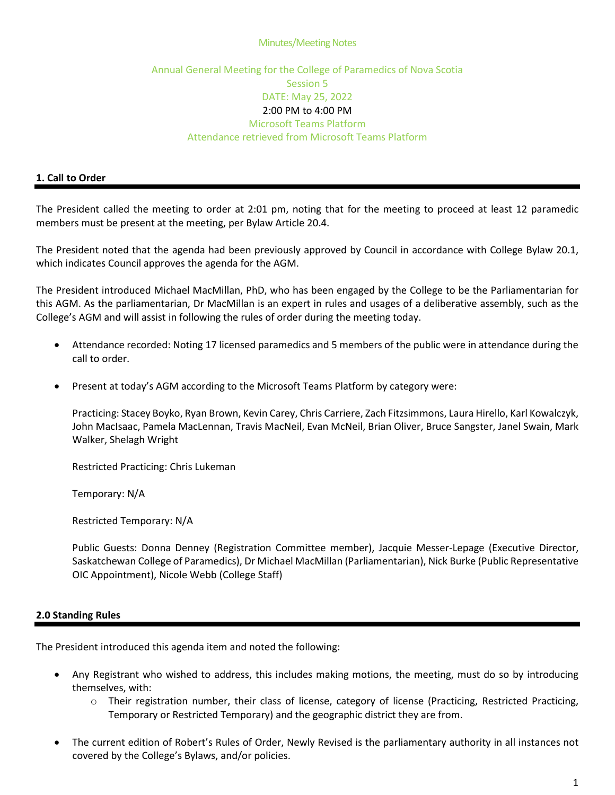#### **Minutes/Meeting Notes**

# Annual General Meeting for the College of Paramedics of Nova Scotia Session 5 DATE: May 25, 2022 2:00 PM to 4:00 PM Microsoft Teams Platform Attendance retrieved from Microsoft Teams Platform

## **1. Call to Order**

The President called the meeting to order at 2:01 pm, noting that for the meeting to proceed at least 12 paramedic members must be present at the meeting, per Bylaw Article 20.4.

The President noted that the agenda had been previously approved by Council in accordance with College Bylaw 20.1, which indicates Council approves the agenda for the AGM.

The President introduced Michael MacMillan, PhD, who has been engaged by the College to be the Parliamentarian for this AGM. As the parliamentarian, Dr MacMillan is an expert in rules and usages of a deliberative assembly, such as the College's AGM and will assist in following the rules of order during the meeting today.

- Attendance recorded: Noting 17 licensed paramedics and 5 members of the public were in attendance during the call to order.
- Present at today's AGM according to the Microsoft Teams Platform by category were:

Practicing: Stacey Boyko, Ryan Brown, Kevin Carey, Chris Carriere, Zach Fitzsimmons, Laura Hirello, Karl Kowalczyk, John MacIsaac, Pamela MacLennan, Travis MacNeil, Evan McNeil, Brian Oliver, Bruce Sangster, Janel Swain, Mark Walker, Shelagh Wright

Restricted Practicing: Chris Lukeman

Temporary: N/A

Restricted Temporary: N/A

Public Guests: Donna Denney (Registration Committee member), Jacquie Messer-Lepage (Executive Director, Saskatchewan College of Paramedics), Dr Michael MacMillan (Parliamentarian), Nick Burke (Public Representative OIC Appointment), Nicole Webb (College Staff)

## **2.0 Standing Rules**

The President introduced this agenda item and noted the following:

- Any Registrant who wished to address, this includes making motions, the meeting, must do so by introducing themselves, with:
	- o Their registration number, their class of license, category of license (Practicing, Restricted Practicing, Temporary or Restricted Temporary) and the geographic district they are from.
- The current edition of Robert's Rules of Order, Newly Revised is the parliamentary authority in all instances not covered by the College's Bylaws, and/or policies.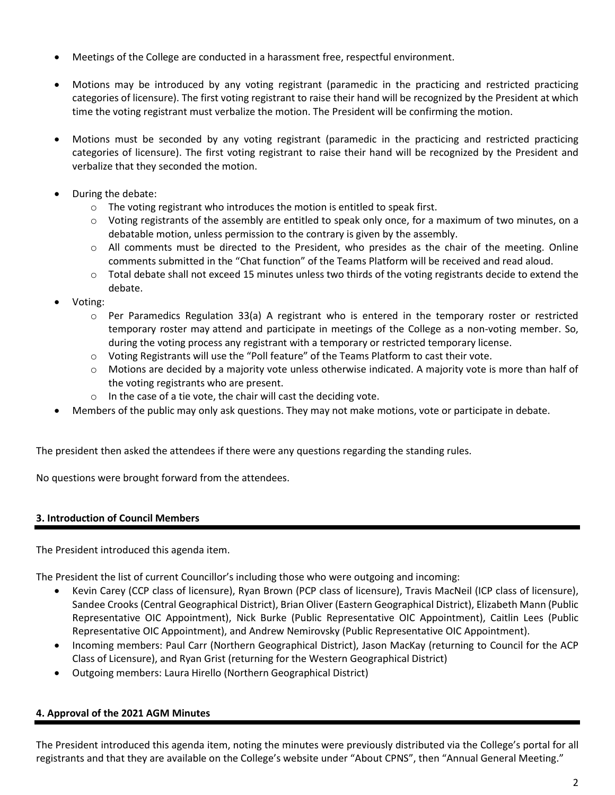- Meetings of the College are conducted in a harassment free, respectful environment.
- Motions may be introduced by any voting registrant (paramedic in the practicing and restricted practicing categories of licensure). The first voting registrant to raise their hand will be recognized by the President at which time the voting registrant must verbalize the motion. The President will be confirming the motion.
- Motions must be seconded by any voting registrant (paramedic in the practicing and restricted practicing categories of licensure). The first voting registrant to raise their hand will be recognized by the President and verbalize that they seconded the motion.
- During the debate:
	- o The voting registrant who introduces the motion is entitled to speak first.
	- o Voting registrants of the assembly are entitled to speak only once, for a maximum of two minutes, on a debatable motion, unless permission to the contrary is given by the assembly.
	- $\circ$  All comments must be directed to the President, who presides as the chair of the meeting. Online comments submitted in the "Chat function" of the Teams Platform will be received and read aloud.
	- $\circ$  Total debate shall not exceed 15 minutes unless two thirds of the voting registrants decide to extend the debate.
- Voting:
	- $\circ$  Per Paramedics Regulation 33(a) A registrant who is entered in the temporary roster or restricted temporary roster may attend and participate in meetings of the College as a non-voting member. So, during the voting process any registrant with a temporary or restricted temporary license.
	- o Voting Registrants will use the "Poll feature" of the Teams Platform to cast their vote.
	- o Motions are decided by a majority vote unless otherwise indicated. A majority vote is more than half of the voting registrants who are present.
	- o In the case of a tie vote, the chair will cast the deciding vote.
- Members of the public may only ask questions. They may not make motions, vote or participate in debate.

The president then asked the attendees if there were any questions regarding the standing rules.

No questions were brought forward from the attendees.

## **3. Introduction of Council Members**

The President introduced this agenda item.

The President the list of current Councillor's including those who were outgoing and incoming:

- Kevin Carey (CCP class of licensure), Ryan Brown (PCP class of licensure), Travis MacNeil (ICP class of licensure), Sandee Crooks (Central Geographical District), Brian Oliver (Eastern Geographical District), Elizabeth Mann (Public Representative OIC Appointment), Nick Burke (Public Representative OIC Appointment), Caitlin Lees (Public Representative OIC Appointment), and Andrew Nemirovsky (Public Representative OIC Appointment).
- Incoming members: Paul Carr (Northern Geographical District), Jason MacKay (returning to Council for the ACP Class of Licensure), and Ryan Grist (returning for the Western Geographical District)
- Outgoing members: Laura Hirello (Northern Geographical District)

# **4. Approval of the 2021 AGM Minutes**

The President introduced this agenda item, noting the minutes were previously distributed via the College's portal for all registrants and that they are available on the College's website under "About CPNS", then "Annual General Meeting."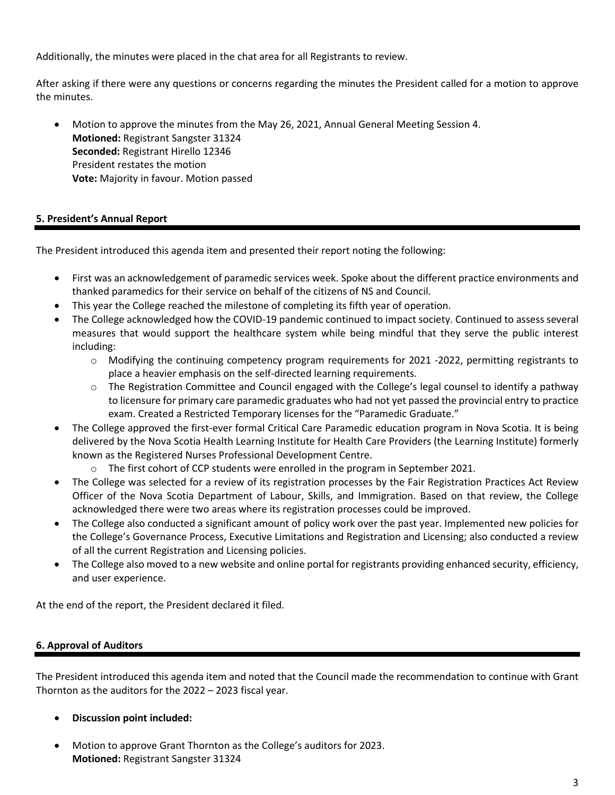Additionally, the minutes were placed in the chat area for all Registrants to review.

After asking if there were any questions or concerns regarding the minutes the President called for a motion to approve the minutes.

• Motion to approve the minutes from the May 26, 2021, Annual General Meeting Session 4. **Motioned:** Registrant Sangster 31324 **Seconded:** Registrant Hirello 12346 President restates the motion **Vote:** Majority in favour. Motion passed

## **5. President's Annual Report**

The President introduced this agenda item and presented their report noting the following:

- First was an acknowledgement of paramedic services week. Spoke about the different practice environments and thanked paramedics for their service on behalf of the citizens of NS and Council.
- This year the College reached the milestone of completing its fifth year of operation.
- The College acknowledged how the COVID-19 pandemic continued to impact society. Continued to assess several measures that would support the healthcare system while being mindful that they serve the public interest including:
	- $\circ$  Modifying the continuing competency program requirements for 2021 -2022, permitting registrants to place a heavier emphasis on the self-directed learning requirements.
	- $\circ$  The Registration Committee and Council engaged with the College's legal counsel to identify a pathway to licensure for primary care paramedic graduates who had not yet passed the provincial entry to practice exam. Created a Restricted Temporary licenses for the "Paramedic Graduate."
- The College approved the first-ever formal Critical Care Paramedic education program in Nova Scotia. It is being delivered by the Nova Scotia Health Learning Institute for Health Care Providers (the Learning Institute) formerly known as the Registered Nurses Professional Development Centre.
	- o The first cohort of CCP students were enrolled in the program in September 2021.
- The College was selected for a review of its registration processes by the Fair Registration Practices Act Review Officer of the Nova Scotia Department of Labour, Skills, and Immigration. Based on that review, the College acknowledged there were two areas where its registration processes could be improved.
- The College also conducted a significant amount of policy work over the past year. Implemented new policies for the College's Governance Process, Executive Limitations and Registration and Licensing; also conducted a review of all the current Registration and Licensing policies.
- The College also moved to a new website and online portal for registrants providing enhanced security, efficiency, and user experience.

At the end of the report, the President declared it filed.

# **6. Approval of Auditors**

The President introduced this agenda item and noted that the Council made the recommendation to continue with Grant Thornton as the auditors for the 2022 – 2023 fiscal year.

- **Discussion point included:**
- Motion to approve Grant Thornton as the College's auditors for 2023. **Motioned:** Registrant Sangster 31324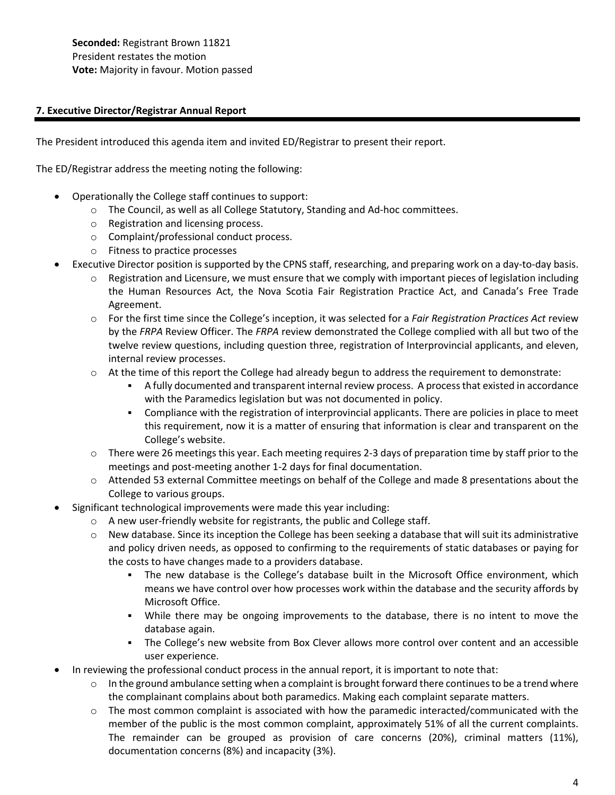**Seconded:** Registrant Brown 11821 President restates the motion **Vote:** Majority in favour. Motion passed

## **7. Executive Director/Registrar Annual Report**

The President introduced this agenda item and invited ED/Registrar to present their report.

The ED/Registrar address the meeting noting the following:

- Operationally the College staff continues to support:
	- o The Council, as well as all College Statutory, Standing and Ad-hoc committees.
	- o Registration and licensing process.
	- o Complaint/professional conduct process.
	- o Fitness to practice processes
- Executive Director position is supported by the CPNS staff, researching, and preparing work on a day-to-day basis.
	- $\circ$  Registration and Licensure, we must ensure that we comply with important pieces of legislation including the Human Resources Act, the Nova Scotia Fair Registration Practice Act, and Canada's Free Trade Agreement.
	- o For the first time since the College's inception, it was selected for a *Fair Registration Practices Act* review by the *FRPA* Review Officer. The *FRPA* review demonstrated the College complied with all but two of the twelve review questions, including question three, registration of Interprovincial applicants, and eleven, internal review processes.
	- $\circ$  At the time of this report the College had already begun to address the requirement to demonstrate:
		- A fully documented and transparent internal review process. A process that existed in accordance with the Paramedics legislation but was not documented in policy.
		- Compliance with the registration of interprovincial applicants. There are policies in place to meet this requirement, now it is a matter of ensuring that information is clear and transparent on the College's website.
	- $\circ$  There were 26 meetings this year. Each meeting requires 2-3 days of preparation time by staff prior to the meetings and post-meeting another 1-2 days for final documentation.
	- o Attended 53 external Committee meetings on behalf of the College and made 8 presentations about the College to various groups.
- Significant technological improvements were made this year including:
	- o A new user-friendly website for registrants, the public and College staff.
	- $\circ$  New database. Since its inception the College has been seeking a database that will suit its administrative and policy driven needs, as opposed to confirming to the requirements of static databases or paying for the costs to have changes made to a providers database.
		- **•** The new database is the College's database built in the Microsoft Office environment, which means we have control over how processes work within the database and the security affords by Microsoft Office.
		- While there may be ongoing improvements to the database, there is no intent to move the database again.
		- The College's new website from Box Clever allows more control over content and an accessible user experience.
- In reviewing the professional conduct process in the annual report, it is important to note that:
	- $\circ$  In the ground ambulance setting when a complaint is brought forward there continues to be a trend where the complainant complains about both paramedics. Making each complaint separate matters.
	- $\circ$  The most common complaint is associated with how the paramedic interacted/communicated with the member of the public is the most common complaint, approximately 51% of all the current complaints. The remainder can be grouped as provision of care concerns (20%), criminal matters (11%), documentation concerns (8%) and incapacity (3%).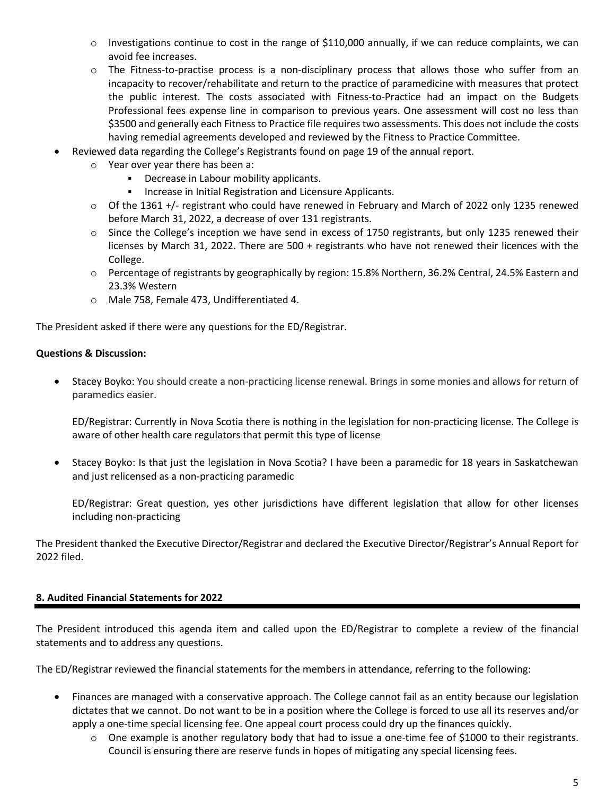- $\circ$  Investigations continue to cost in the range of \$110,000 annually, if we can reduce complaints, we can avoid fee increases.
- o The Fitness-to-practise process is a non-disciplinary process that allows those who suffer from an incapacity to recover/rehabilitate and return to the practice of paramedicine with measures that protect the public interest. The costs associated with Fitness-to-Practice had an impact on the Budgets Professional fees expense line in comparison to previous years. One assessment will cost no less than \$3500 and generally each Fitness to Practice file requires two assessments. This does not include the costs having remedial agreements developed and reviewed by the Fitness to Practice Committee.
- Reviewed data regarding the College's Registrants found on page 19 of the annual report.
	- o Year over year there has been a:
		- Decrease in Labour mobility applicants.
		- Increase in Initial Registration and Licensure Applicants.
	- $\circ$  Of the 1361 +/- registrant who could have renewed in February and March of 2022 only 1235 renewed before March 31, 2022, a decrease of over 131 registrants.
	- $\circ$  Since the College's inception we have send in excess of 1750 registrants, but only 1235 renewed their licenses by March 31, 2022. There are 500 + registrants who have not renewed their licences with the College.
	- o Percentage of registrants by geographically by region: 15.8% Northern, 36.2% Central, 24.5% Eastern and 23.3% Western
	- o Male 758, Female 473, Undifferentiated 4.

The President asked if there were any questions for the ED/Registrar.

## **Questions & Discussion:**

• Stacey Boyko: You should create a non-practicing license renewal. Brings in some monies and allows for return of paramedics easier.

ED/Registrar: Currently in Nova Scotia there is nothing in the legislation for non-practicing license. The College is aware of other health care regulators that permit this type of license

• Stacey Boyko: Is that just the legislation in Nova Scotia? I have been a paramedic for 18 years in Saskatchewan and just relicensed as a non-practicing paramedic

ED/Registrar: Great question, yes other jurisdictions have different legislation that allow for other licenses including non-practicing

The President thanked the Executive Director/Registrar and declared the Executive Director/Registrar's Annual Report for 2022 filed.

# **8. Audited Financial Statements for 2022**

The President introduced this agenda item and called upon the ED/Registrar to complete a review of the financial statements and to address any questions.

The ED/Registrar reviewed the financial statements for the members in attendance, referring to the following:

- Finances are managed with a conservative approach. The College cannot fail as an entity because our legislation dictates that we cannot. Do not want to be in a position where the College is forced to use all its reserves and/or apply a one-time special licensing fee. One appeal court process could dry up the finances quickly.
	- $\circ$  One example is another regulatory body that had to issue a one-time fee of \$1000 to their registrants. Council is ensuring there are reserve funds in hopes of mitigating any special licensing fees.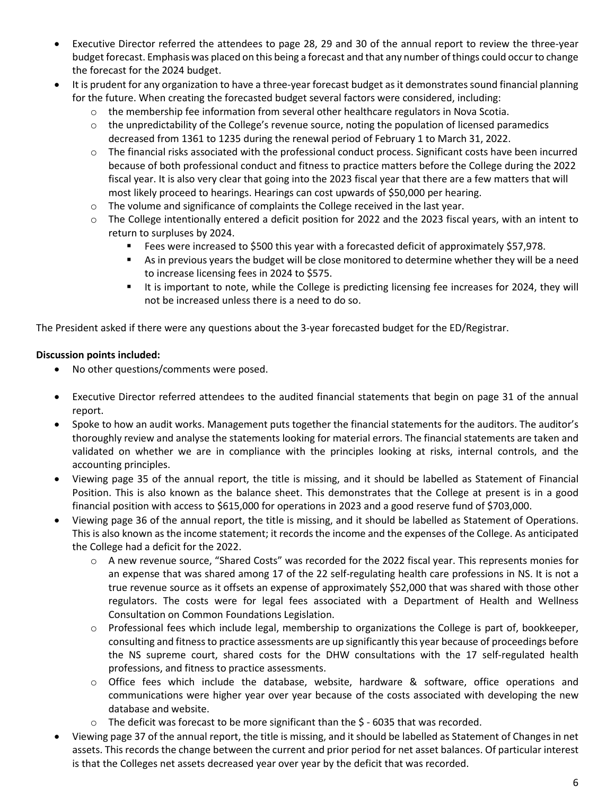- Executive Director referred the attendees to page 28, 29 and 30 of the annual report to review the three-year budget forecast. Emphasis was placed on this being a forecast and that any number ofthings could occurto change the forecast for the 2024 budget.
- It is prudent for any organization to have a three-year forecast budget as it demonstrates sound financial planning for the future. When creating the forecasted budget several factors were considered, including:
	- $\circ$  the membership fee information from several other healthcare regulators in Nova Scotia.
	- $\circ$  the unpredictability of the College's revenue source, noting the population of licensed paramedics decreased from 1361 to 1235 during the renewal period of February 1 to March 31, 2022.
	- $\circ$  The financial risks associated with the professional conduct process. Significant costs have been incurred because of both professional conduct and fitness to practice matters before the College during the 2022 fiscal year. It is also very clear that going into the 2023 fiscal year that there are a few matters that will most likely proceed to hearings. Hearings can cost upwards of \$50,000 per hearing.
	- o The volume and significance of complaints the College received in the last year.
	- $\circ$  The College intentionally entered a deficit position for 2022 and the 2023 fiscal years, with an intent to return to surpluses by 2024.
		- Fees were increased to \$500 this year with a forecasted deficit of approximately \$57,978.
		- **EX As in previous years the budget will be close monitored to determine whether they will be a need** to increase licensing fees in 2024 to \$575.
		- It is important to note, while the College is predicting licensing fee increases for 2024, they will not be increased unless there is a need to do so.

The President asked if there were any questions about the 3-year forecasted budget for the ED/Registrar.

## **Discussion points included:**

- No other questions/comments were posed.
- Executive Director referred attendees to the audited financial statements that begin on page 31 of the annual report.
- Spoke to how an audit works. Management puts together the financial statements for the auditors. The auditor's thoroughly review and analyse the statements looking for material errors. The financial statements are taken and validated on whether we are in compliance with the principles looking at risks, internal controls, and the accounting principles.
- Viewing page 35 of the annual report, the title is missing, and it should be labelled as Statement of Financial Position. This is also known as the balance sheet. This demonstrates that the College at present is in a good financial position with access to \$615,000 for operations in 2023 and a good reserve fund of \$703,000.
- Viewing page 36 of the annual report, the title is missing, and it should be labelled as Statement of Operations. This is also known as the income statement; it records the income and the expenses of the College. As anticipated the College had a deficit for the 2022.
	- o A new revenue source, "Shared Costs" was recorded for the 2022 fiscal year. This represents monies for an expense that was shared among 17 of the 22 self-regulating health care professions in NS. It is not a true revenue source as it offsets an expense of approximately \$52,000 that was shared with those other regulators. The costs were for legal fees associated with a Department of Health and Wellness Consultation on Common Foundations Legislation.
	- o Professional fees which include legal, membership to organizations the College is part of, bookkeeper, consulting and fitnessto practice assessments are up significantly this year because of proceedings before the NS supreme court, shared costs for the DHW consultations with the 17 self-regulated health professions, and fitness to practice assessments.
	- o Office fees which include the database, website, hardware & software, office operations and communications were higher year over year because of the costs associated with developing the new database and website.
	- $\circ$  The deficit was forecast to be more significant than the \$ 6035 that was recorded.
- Viewing page 37 of the annual report, the title is missing, and it should be labelled as Statement of Changes in net assets. Thisrecords the change between the current and prior period for net asset balances. Of particular interest is that the Colleges net assets decreased year over year by the deficit that was recorded.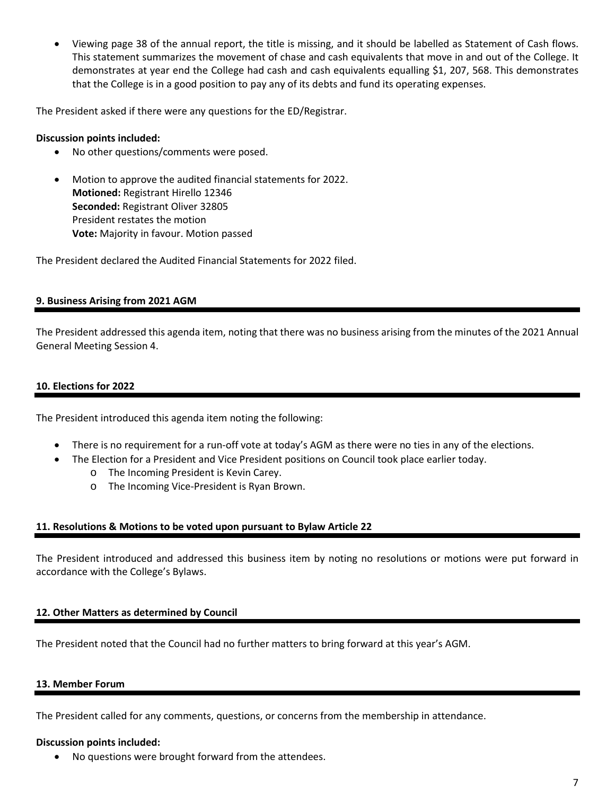• Viewing page 38 of the annual report, the title is missing, and it should be labelled as Statement of Cash flows. This statement summarizes the movement of chase and cash equivalents that move in and out of the College. It demonstrates at year end the College had cash and cash equivalents equalling \$1, 207, 568. This demonstrates that the College is in a good position to pay any of its debts and fund its operating expenses.

The President asked if there were any questions for the ED/Registrar.

## **Discussion points included:**

- No other questions/comments were posed.
- Motion to approve the audited financial statements for 2022. **Motioned:** Registrant Hirello 12346 **Seconded:** Registrant Oliver 32805 President restates the motion **Vote:** Majority in favour. Motion passed

The President declared the Audited Financial Statements for 2022 filed.

# **9. Business Arising from 2021 AGM**

The President addressed this agenda item, noting that there was no business arising from the minutes of the 2021 Annual General Meeting Session 4.

## **10. Elections for 2022**

The President introduced this agenda item noting the following:

- There is no requirement for a run-off vote at today's AGM as there were no ties in any of the elections.
	- The Election for a President and Vice President positions on Council took place earlier today.
		- o The Incoming President is Kevin Carey.
		- o The Incoming Vice-President is Ryan Brown.

## **11. Resolutions & Motions to be voted upon pursuant to Bylaw Article 22**

The President introduced and addressed this business item by noting no resolutions or motions were put forward in accordance with the College's Bylaws.

## **12. Other Matters as determined by Council**

The President noted that the Council had no further matters to bring forward at this year's AGM.

## **13. Member Forum**

The President called for any comments, questions, or concerns from the membership in attendance.

## **Discussion points included:**

• No questions were brought forward from the attendees.